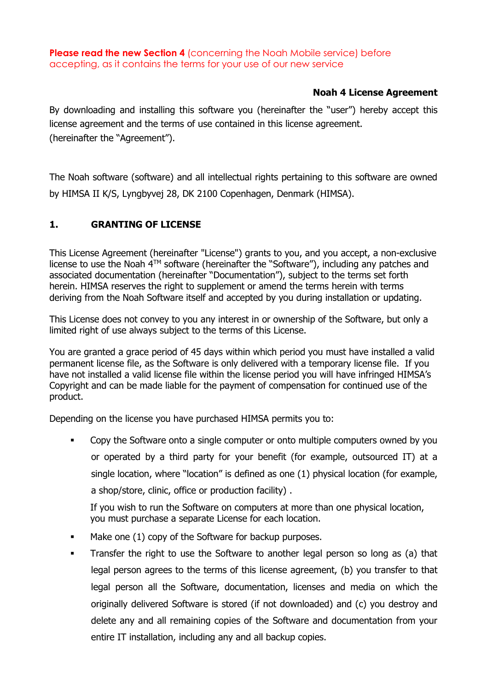**Please read the new Section 4** (concerning the Noah Mobile service) before accepting, as it contains the terms for your use of our new service

#### **Noah 4 License Agreement**

By downloading and installing this software you (hereinafter the "user") hereby accept this license agreement and the terms of use contained in this license agreement. (hereinafter the "Agreement").

The Noah software (software) and all intellectual rights pertaining to this software are owned by HIMSA II K/S, Lyngbyvej 28, DK 2100 Copenhagen, Denmark (HIMSA).

### **1. GRANTING OF LICENSE**

This License Agreement (hereinafter "License") grants to you, and you accept, a non-exclusive license to use the Noah  $\hat{A}^{TM}$  software (hereinafter the "Software"), including any patches and associated documentation (hereinafter "Documentation"), subject to the terms set forth herein. HIMSA reserves the right to supplement or amend the terms herein with terms deriving from the Noah Software itself and accepted by you during installation or updating.

This License does not convey to you any interest in or ownership of the Software, but only a limited right of use always subject to the terms of this License.

You are granted a grace period of 45 days within which period you must have installed a valid permanent license file, as the Software is only delivered with a temporary license file. If you have not installed a valid license file within the license period you will have infringed HIMSA's Copyright and can be made liable for the payment of compensation for continued use of the product.

Depending on the license you have purchased HIMSA permits you to:

 Copy the Software onto a single computer or onto multiple computers owned by you or operated by a third party for your benefit (for example, outsourced IT) at a single location, where "location" is defined as one (1) physical location (for example, a shop/store, clinic, office or production facility) .

If you wish to run the Software on computers at more than one physical location, you must purchase a separate License for each location.

- Make one (1) copy of the Software for backup purposes.
- Transfer the right to use the Software to another legal person so long as (a) that legal person agrees to the terms of this license agreement, (b) you transfer to that legal person all the Software, documentation, licenses and media on which the originally delivered Software is stored (if not downloaded) and (c) you destroy and delete any and all remaining copies of the Software and documentation from your entire IT installation, including any and all backup copies.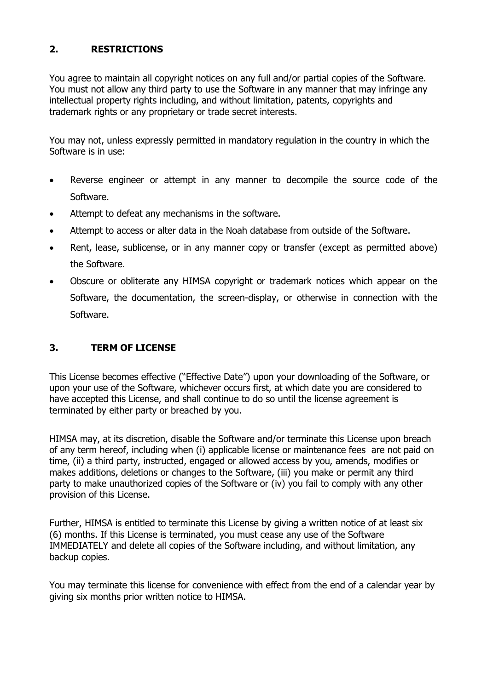## **2. RESTRICTIONS**

You agree to maintain all copyright notices on any full and/or partial copies of the Software. You must not allow any third party to use the Software in any manner that may infringe any intellectual property rights including, and without limitation, patents, copyrights and trademark rights or any proprietary or trade secret interests.

You may not, unless expressly permitted in mandatory regulation in the country in which the Software is in use:

- Reverse engineer or attempt in any manner to decompile the source code of the Software.
- Attempt to defeat any mechanisms in the software.
- Attempt to access or alter data in the Noah database from outside of the Software.
- Rent, lease, sublicense, or in any manner copy or transfer (except as permitted above) the Software.
- Obscure or obliterate any HIMSA copyright or trademark notices which appear on the Software, the documentation, the screen-display, or otherwise in connection with the Software.

### **3. TERM OF LICENSE**

This License becomes effective ("Effective Date") upon your downloading of the Software, or upon your use of the Software, whichever occurs first, at which date you are considered to have accepted this License, and shall continue to do so until the license agreement is terminated by either party or breached by you.

HIMSA may, at its discretion, disable the Software and/or terminate this License upon breach of any term hereof, including when (i) applicable license or maintenance fees are not paid on time, (ii) a third party, instructed, engaged or allowed access by you, amends, modifies or makes additions, deletions or changes to the Software, (iii) you make or permit any third party to make unauthorized copies of the Software or (iv) you fail to comply with any other provision of this License.

Further, HIMSA is entitled to terminate this License by giving a written notice of at least six (6) months. If this License is terminated, you must cease any use of the Software IMMEDIATELY and delete all copies of the Software including, and without limitation, any backup copies.

You may terminate this license for convenience with effect from the end of a calendar year by giving six months prior written notice to HIMSA.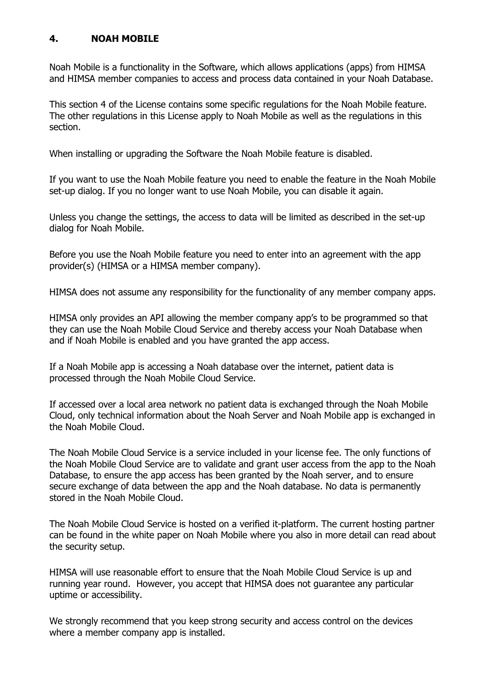#### **4. NOAH MOBILE**

Noah Mobile is a functionality in the Software, which allows applications (apps) from HIMSA and HIMSA member companies to access and process data contained in your Noah Database.

This section 4 of the License contains some specific regulations for the Noah Mobile feature. The other regulations in this License apply to Noah Mobile as well as the regulations in this section.

When installing or upgrading the Software the Noah Mobile feature is disabled.

If you want to use the Noah Mobile feature you need to enable the feature in the Noah Mobile set-up dialog. If you no longer want to use Noah Mobile, you can disable it again.

Unless you change the settings, the access to data will be limited as described in the set-up dialog for Noah Mobile.

Before you use the Noah Mobile feature you need to enter into an agreement with the app provider(s) (HIMSA or a HIMSA member company).

HIMSA does not assume any responsibility for the functionality of any member company apps.

HIMSA only provides an API allowing the member company app's to be programmed so that they can use the Noah Mobile Cloud Service and thereby access your Noah Database when and if Noah Mobile is enabled and you have granted the app access.

If a Noah Mobile app is accessing a Noah database over the internet, patient data is processed through the Noah Mobile Cloud Service.

If accessed over a local area network no patient data is exchanged through the Noah Mobile Cloud, only technical information about the Noah Server and Noah Mobile app is exchanged in the Noah Mobile Cloud.

The Noah Mobile Cloud Service is a service included in your license fee. The only functions of the Noah Mobile Cloud Service are to validate and grant user access from the app to the Noah Database, to ensure the app access has been granted by the Noah server, and to ensure secure exchange of data between the app and the Noah database. No data is permanently stored in the Noah Mobile Cloud.

The Noah Mobile Cloud Service is hosted on a verified it-platform. The current hosting partner can be found in the white paper on Noah Mobile where you also in more detail can read about the security setup.

HIMSA will use reasonable effort to ensure that the Noah Mobile Cloud Service is up and running year round. However, you accept that HIMSA does not guarantee any particular uptime or accessibility.

We strongly recommend that you keep strong security and access control on the devices where a member company app is installed.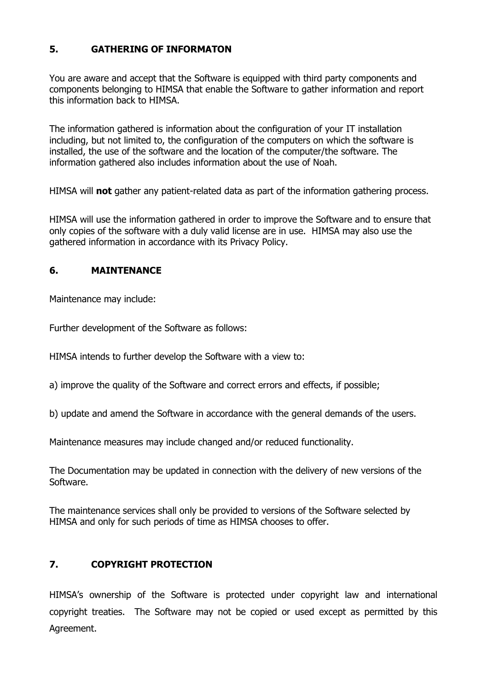### **5. GATHERING OF INFORMATON**

You are aware and accept that the Software is equipped with third party components and components belonging to HIMSA that enable the Software to gather information and report this information back to HIMSA.

The information gathered is information about the configuration of your IT installation including, but not limited to, the configuration of the computers on which the software is installed, the use of the software and the location of the computer/the software. The information gathered also includes information about the use of Noah.

HIMSA will **not** gather any patient-related data as part of the information gathering process.

HIMSA will use the information gathered in order to improve the Software and to ensure that only copies of the software with a duly valid license are in use. HIMSA may also use the gathered information in accordance with its Privacy Policy.

#### **6. MAINTENANCE**

Maintenance may include:

Further development of the Software as follows:

HIMSA intends to further develop the Software with a view to:

a) improve the quality of the Software and correct errors and effects, if possible;

b) update and amend the Software in accordance with the general demands of the users.

Maintenance measures may include changed and/or reduced functionality.

The Documentation may be updated in connection with the delivery of new versions of the Software.

The maintenance services shall only be provided to versions of the Software selected by HIMSA and only for such periods of time as HIMSA chooses to offer.

### **7. COPYRIGHT PROTECTION**

HIMSA's ownership of the Software is protected under copyright law and international copyright treaties. The Software may not be copied or used except as permitted by this Agreement.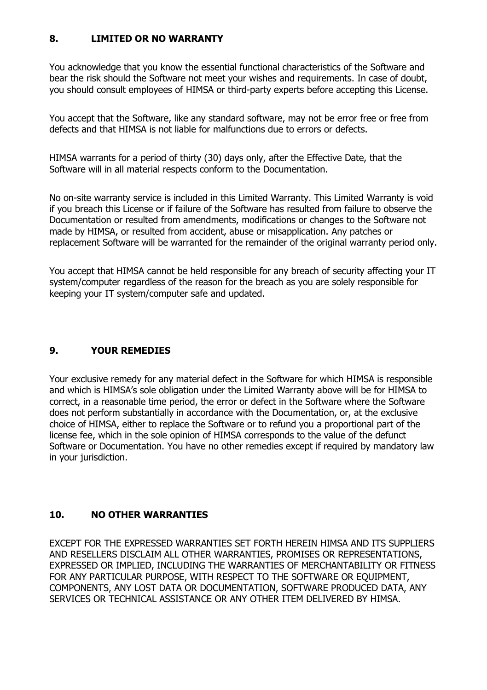### **8. LIMITED OR NO WARRANTY**

You acknowledge that you know the essential functional characteristics of the Software and bear the risk should the Software not meet your wishes and requirements. In case of doubt, you should consult employees of HIMSA or third-party experts before accepting this License.

You accept that the Software, like any standard software, may not be error free or free from defects and that HIMSA is not liable for malfunctions due to errors or defects.

HIMSA warrants for a period of thirty (30) days only, after the Effective Date, that the Software will in all material respects conform to the Documentation.

No on-site warranty service is included in this Limited Warranty. This Limited Warranty is void if you breach this License or if failure of the Software has resulted from failure to observe the Documentation or resulted from amendments, modifications or changes to the Software not made by HIMSA, or resulted from accident, abuse or misapplication. Any patches or replacement Software will be warranted for the remainder of the original warranty period only.

You accept that HIMSA cannot be held responsible for any breach of security affecting your IT system/computer regardless of the reason for the breach as you are solely responsible for keeping your IT system/computer safe and updated.

## **9. YOUR REMEDIES**

Your exclusive remedy for any material defect in the Software for which HIMSA is responsible and which is HIMSA's sole obligation under the Limited Warranty above will be for HIMSA to correct, in a reasonable time period, the error or defect in the Software where the Software does not perform substantially in accordance with the Documentation, or, at the exclusive choice of HIMSA, either to replace the Software or to refund you a proportional part of the license fee, which in the sole opinion of HIMSA corresponds to the value of the defunct Software or Documentation. You have no other remedies except if required by mandatory law in your jurisdiction.

### **10. NO OTHER WARRANTIES**

EXCEPT FOR THE EXPRESSED WARRANTIES SET FORTH HEREIN HIMSA AND ITS SUPPLIERS AND RESELLERS DISCLAIM ALL OTHER WARRANTIES, PROMISES OR REPRESENTATIONS, EXPRESSED OR IMPLIED, INCLUDING THE WARRANTIES OF MERCHANTABILITY OR FITNESS FOR ANY PARTICULAR PURPOSE, WITH RESPECT TO THE SOFTWARE OR EQUIPMENT, COMPONENTS, ANY LOST DATA OR DOCUMENTATION, SOFTWARE PRODUCED DATA, ANY SERVICES OR TECHNICAL ASSISTANCE OR ANY OTHER ITEM DELIVERED BY HIMSA.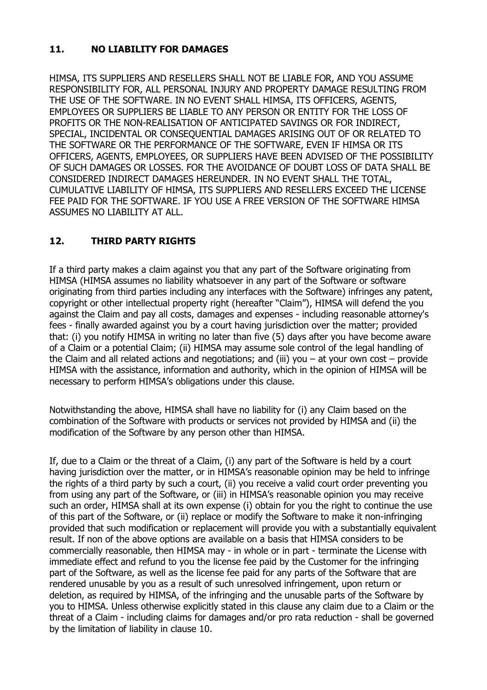### <span id="page-5-0"></span>**11. NO LIABILITY FOR DAMAGES**

HIMSA, ITS SUPPLIERS AND RESELLERS SHALL NOT BE LIABLE FOR, AND YOU ASSUME RESPONSIBILITY FOR, ALL PERSONAL INJURY AND PROPERTY DAMAGE RESULTING FROM THE USE OF THE SOFTWARE. IN NO EVENT SHALL HIMSA, ITS OFFICERS, AGENTS, EMPLOYEES OR SUPPLIERS BE LIABLE TO ANY PERSON OR ENTITY FOR THE LOSS OF PROFITS OR THE NON-REALISATION OF ANTICIPATED SAVINGS OR FOR INDIRECT, SPECIAL, INCIDENTAL OR CONSEQUENTIAL DAMAGES ARISING OUT OF OR RELATED TO THE SOFTWARE OR THE PERFORMANCE OF THE SOFTWARE, EVEN IF HIMSA OR ITS OFFICERS, AGENTS, EMPLOYEES, OR SUPPLIERS HAVE BEEN ADVISED OF THE POSSIBILITY OF SUCH DAMAGES OR LOSSES. FOR THE AVOIDANCE OF DOUBT LOSS OF DATA SHALL BE CONSIDERED INDIRECT DAMAGES HEREUNDER. IN NO EVENT SHALL THE TOTAL, CUMULATIVE LIABILITY OF HIMSA, ITS SUPPLIERS AND RESELLERS EXCEED THE LICENSE FEE PAID FOR THE SOFTWARE. IF YOU USE A FREE VERSION OF THE SOFTWARE HIMSA ASSUMES NO LIABILITY AT ALL.

# **12. THIRD PARTY RIGHTS**

If a third party makes a claim against you that any part of the Software originating from HIMSA (HIMSA assumes no liability whatsoever in any part of the Software or software originating from third parties including any interfaces with the Software) infringes any patent, copyright or other intellectual property right (hereafter "Claim"), HIMSA will defend the you against the Claim and pay all costs, damages and expenses - including reasonable attorney's fees - finally awarded against you by a court having jurisdiction over the matter; provided that: (i) you notify HIMSA in writing no later than five (5) days after you have become aware of a Claim or a potential Claim; (ii) HIMSA may assume sole control of the legal handling of the Claim and all related actions and negotiations; and (iii) you – at your own cost – provide HIMSA with the assistance, information and authority, which in the opinion of HIMSA will be necessary to perform HIMSA's obligations under this clause.

Notwithstanding the above, HIMSA shall have no liability for (i) any Claim based on the combination of the Software with products or services not provided by HIMSA and (ii) the modification of the Software by any person other than HIMSA.

If, due to a Claim or the threat of a Claim, (i) any part of the Software is held by a court having jurisdiction over the matter, or in HIMSA's reasonable opinion may be held to infringe the rights of a third party by such a court, (ii) you receive a valid court order preventing you from using any part of the Software, or (iii) in HIMSA's reasonable opinion you may receive such an order, HIMSA shall at its own expense (i) obtain for you the right to continue the use of this part of the Software, or (ii) replace or modify the Software to make it non-infringing provided that such modification or replacement will provide you with a substantially equivalent result. If non of the above options are available on a basis that HIMSA considers to be commercially reasonable, then HIMSA may - in whole or in part - terminate the License with immediate effect and refund to you the license fee paid by the Customer for the infringing part of the Software, as well as the license fee paid for any parts of the Software that are rendered unusable by you as a result of such unresolved infringement, upon return or deletion, as required by HIMSA, of the infringing and the unusable parts of the Software by you to HIMSA. Unless otherwise explicitly stated in this clause any claim due to a Claim or the threat of a Claim - including claims for damages and/or pro rata reduction - shall be governed by the limitation of liability in clause [10.](#page-5-0)